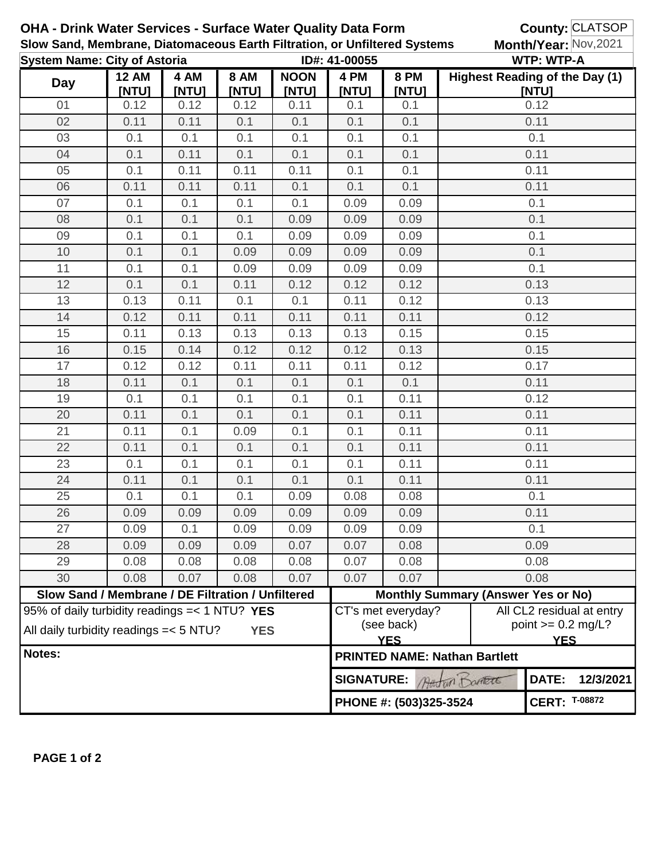| <b>OHA - Drink Water Services - Surface Water Quality Data Form</b><br>Slow Sand, Membrane, Diatomaceous Earth Filtration, or Unfiltered Systems |                                                                                                             |               |                      |                      |                                                          |                                                                                                                   |                                      | <b>County: CLATSOP</b><br>Month/Year: Nov, 2021 |  |  |  |
|--------------------------------------------------------------------------------------------------------------------------------------------------|-------------------------------------------------------------------------------------------------------------|---------------|----------------------|----------------------|----------------------------------------------------------|-------------------------------------------------------------------------------------------------------------------|--------------------------------------|-------------------------------------------------|--|--|--|
| <b>System Name: City of Astoria</b>                                                                                                              |                                                                                                             |               |                      | ID#: 41-00055        |                                                          |                                                                                                                   | <b>WTP: WTP-A</b>                    |                                                 |  |  |  |
| Day                                                                                                                                              | <b>12 AM</b><br>[NTU]                                                                                       | 4 AM<br>[NTU] | <b>8 AM</b><br>[NTU] | <b>NOON</b><br>[NTU] | 4 PM<br>[NTU]                                            | <b>8 PM</b><br>[NTU]                                                                                              |                                      | <b>Highest Reading of the Day (1)</b><br>[NTU]  |  |  |  |
| 01                                                                                                                                               | 0.12                                                                                                        | 0.12          | 0.12                 | 0.11                 | 0.1                                                      | 0.1                                                                                                               | 0.12                                 |                                                 |  |  |  |
| 02                                                                                                                                               | 0.11                                                                                                        | 0.11          | 0.1                  | 0.1                  | 0.1                                                      | 0.1                                                                                                               | 0.11                                 |                                                 |  |  |  |
| 03                                                                                                                                               | 0.1                                                                                                         | 0.1           | 0.1                  | 0.1                  | 0.1                                                      | 0.1                                                                                                               | 0.1                                  |                                                 |  |  |  |
| 04                                                                                                                                               | 0.1                                                                                                         | 0.11          | 0.1                  | 0.1                  | 0.1                                                      | 0.1                                                                                                               | 0.11                                 |                                                 |  |  |  |
| 05                                                                                                                                               | 0.1                                                                                                         | 0.11          | 0.11                 | 0.11                 | 0.1                                                      | 0.1                                                                                                               | 0.11                                 |                                                 |  |  |  |
| 06                                                                                                                                               | 0.11                                                                                                        | 0.11          | 0.11                 | 0.1                  | 0.1                                                      | 0.1                                                                                                               | 0.11                                 |                                                 |  |  |  |
| 07                                                                                                                                               | 0.1                                                                                                         | 0.1           | 0.1                  | 0.1                  | 0.09                                                     | 0.09                                                                                                              | 0.1                                  |                                                 |  |  |  |
| 08                                                                                                                                               | 0.1                                                                                                         | 0.1           | 0.1                  | 0.09                 | 0.09                                                     | 0.09                                                                                                              | 0.1                                  |                                                 |  |  |  |
| 09                                                                                                                                               | 0.1                                                                                                         | 0.1           | 0.1                  | 0.09                 | 0.09                                                     | 0.09                                                                                                              | 0.1                                  |                                                 |  |  |  |
| 10                                                                                                                                               | 0.1                                                                                                         | 0.1           | 0.09                 | 0.09                 | 0.09                                                     | 0.09                                                                                                              | 0.1                                  |                                                 |  |  |  |
| 11                                                                                                                                               | 0.1                                                                                                         | 0.1           | 0.09                 | 0.09                 | 0.09                                                     | 0.09                                                                                                              | 0.1                                  |                                                 |  |  |  |
| 12                                                                                                                                               | 0.1                                                                                                         | 0.1           | 0.11                 | 0.12                 | 0.12                                                     | 0.12                                                                                                              | 0.13                                 |                                                 |  |  |  |
| 13                                                                                                                                               | 0.13                                                                                                        | 0.11          | 0.1                  | 0.1                  | 0.11                                                     | 0.12                                                                                                              |                                      | 0.13                                            |  |  |  |
| 14                                                                                                                                               | 0.12                                                                                                        | 0.11          | 0.11                 | 0.11                 | 0.11                                                     | 0.11                                                                                                              |                                      | 0.12                                            |  |  |  |
| 15                                                                                                                                               | 0.11                                                                                                        | 0.13          | 0.13                 | 0.13                 | 0.13                                                     | 0.15                                                                                                              | 0.15                                 |                                                 |  |  |  |
| 16                                                                                                                                               | 0.15                                                                                                        | 0.14          | 0.12                 | 0.12                 | 0.12                                                     | 0.13                                                                                                              |                                      | 0.15                                            |  |  |  |
| 17                                                                                                                                               | 0.12                                                                                                        | 0.12          | 0.11                 | 0.11                 | 0.11                                                     | 0.12                                                                                                              | 0.17                                 |                                                 |  |  |  |
| 18                                                                                                                                               | 0.11                                                                                                        | 0.1           | 0.1                  | 0.1                  | 0.1                                                      | 0.1                                                                                                               | 0.11                                 |                                                 |  |  |  |
| 19                                                                                                                                               | 0.1                                                                                                         | 0.1           | 0.1                  | 0.1                  | 0.1                                                      | 0.11                                                                                                              | 0.12                                 |                                                 |  |  |  |
| 20                                                                                                                                               | 0.11                                                                                                        | 0.1           | 0.1                  | 0.1                  | 0.1                                                      | 0.11                                                                                                              | 0.11                                 |                                                 |  |  |  |
| 21                                                                                                                                               | 0.11                                                                                                        | 0.1           | 0.09                 | 0.1                  | 0.1                                                      | 0.11                                                                                                              | 0.11                                 |                                                 |  |  |  |
| 22                                                                                                                                               | 0.11                                                                                                        | 0.1           | 0.1                  | 0.1                  | 0.1                                                      | 0.11                                                                                                              | 0.11                                 |                                                 |  |  |  |
| 23                                                                                                                                               | 0.1                                                                                                         | 0.1           | 0.1                  | 0.1                  | 0.1                                                      | 0.11                                                                                                              | 0.11                                 |                                                 |  |  |  |
| 24                                                                                                                                               | 0.11                                                                                                        | 0.1           | 0.1                  | 0.1                  | 0.1                                                      | 0.11                                                                                                              | 0.11                                 |                                                 |  |  |  |
| 25                                                                                                                                               | 0.1                                                                                                         | 0.1           | 0.1                  | 0.09                 | 0.08                                                     | 0.08                                                                                                              | 0.1                                  |                                                 |  |  |  |
| 26                                                                                                                                               | 0.09                                                                                                        | 0.09          | 0.09                 | 0.09                 | 0.09                                                     | 0.09                                                                                                              | 0.11                                 |                                                 |  |  |  |
| 27                                                                                                                                               | 0.09                                                                                                        | 0.1           | 0.09                 | 0.09                 | 0.09                                                     | 0.09                                                                                                              | 0.1                                  |                                                 |  |  |  |
| 28                                                                                                                                               | 0.09                                                                                                        | 0.09          | 0.09                 | 0.07                 | 0.07                                                     | 0.08                                                                                                              | 0.09                                 |                                                 |  |  |  |
| 29                                                                                                                                               | 0.08                                                                                                        | 0.08          | 0.08                 | 0.08                 | 0.07                                                     | 0.08                                                                                                              |                                      | 0.08                                            |  |  |  |
| 30                                                                                                                                               | 0.08                                                                                                        | 0.07          | 0.08                 | 0.07                 | 0.07                                                     | 0.07                                                                                                              |                                      | 0.08                                            |  |  |  |
|                                                                                                                                                  | Slow Sand / Membrane / DE Filtration / Unfiltered                                                           |               |                      |                      |                                                          | <b>Monthly Summary (Answer Yes or No)</b>                                                                         |                                      |                                                 |  |  |  |
|                                                                                                                                                  | 95% of daily turbidity readings $=< 1 N T U$ ? YES<br>All daily turbidity readings = < 5 NTU?<br><b>YES</b> |               |                      |                      |                                                          | All CL2 residual at entry<br>CT's met everyday?<br>point $>= 0.2$ mg/L?<br>(see back)<br><b>YES</b><br><b>YES</b> |                                      |                                                 |  |  |  |
| Notes:                                                                                                                                           |                                                                                                             |               |                      |                      |                                                          |                                                                                                                   | <b>PRINTED NAME: Nathan Bartlett</b> |                                                 |  |  |  |
|                                                                                                                                                  |                                                                                                             |               |                      |                      | DATE:<br><b>SIGNATURE:</b><br>12/3/2021<br>Austur Danett |                                                                                                                   |                                      |                                                 |  |  |  |
|                                                                                                                                                  |                                                                                                             |               |                      |                      |                                                          | PHONE #: (503)325-3524                                                                                            | <b>CERT: T-08872</b>                 |                                                 |  |  |  |